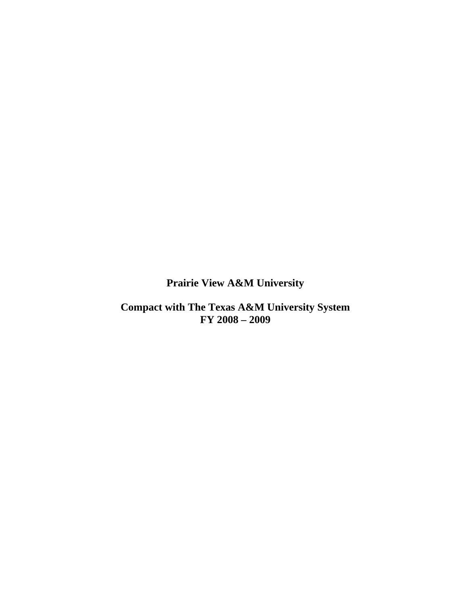**Prairie View A&M University** 

**Compact with The Texas A&M University System FY 2008 – 2009**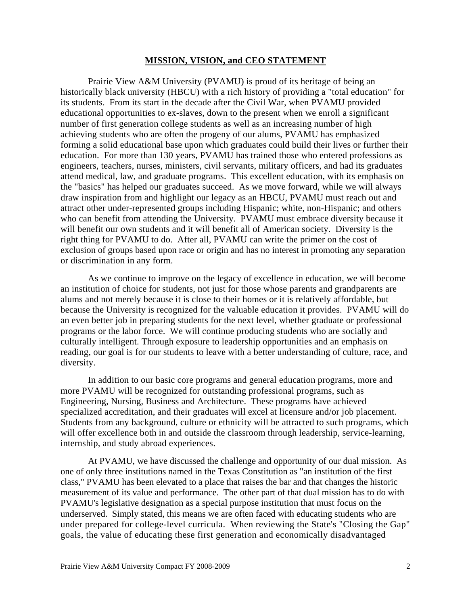#### **MISSION, VISION, and CEO STATEMENT**

Prairie View A&M University (PVAMU) is proud of its heritage of being an historically black university (HBCU) with a rich history of providing a "total education" for its students. From its start in the decade after the Civil War, when PVAMU provided educational opportunities to ex-slaves, down to the present when we enroll a significant number of first generation college students as well as an increasing number of high achieving students who are often the progeny of our alums, PVAMU has emphasized forming a solid educational base upon which graduates could build their lives or further their education. For more than 130 years, PVAMU has trained those who entered professions as engineers, teachers, nurses, ministers, civil servants, military officers, and had its graduates attend medical, law, and graduate programs. This excellent education, with its emphasis on the "basics" has helped our graduates succeed. As we move forward, while we will always draw inspiration from and highlight our legacy as an HBCU, PVAMU must reach out and attract other under-represented groups including Hispanic; white, non-Hispanic; and others who can benefit from attending the University. PVAMU must embrace diversity because it will benefit our own students and it will benefit all of American society. Diversity is the right thing for PVAMU to do. After all, PVAMU can write the primer on the cost of exclusion of groups based upon race or origin and has no interest in promoting any separation or discrimination in any form.

As we continue to improve on the legacy of excellence in education, we will become an institution of choice for students, not just for those whose parents and grandparents are alums and not merely because it is close to their homes or it is relatively affordable, but because the University is recognized for the valuable education it provides. PVAMU will do an even better job in preparing students for the next level, whether graduate or professional programs or the labor force. We will continue producing students who are socially and culturally intelligent. Through exposure to leadership opportunities and an emphasis on reading, our goal is for our students to leave with a better understanding of culture, race, and diversity.

In addition to our basic core programs and general education programs, more and more PVAMU will be recognized for outstanding professional programs, such as Engineering, Nursing, Business and Architecture. These programs have achieved specialized accreditation, and their graduates will excel at licensure and/or job placement. Students from any background, culture or ethnicity will be attracted to such programs, which will offer excellence both in and outside the classroom through leadership, service-learning, internship, and study abroad experiences.

At PVAMU, we have discussed the challenge and opportunity of our dual mission. As one of only three institutions named in the Texas Constitution as "an institution of the first class," PVAMU has been elevated to a place that raises the bar and that changes the historic measurement of its value and performance. The other part of that dual mission has to do with PVAMU's legislative designation as a special purpose institution that must focus on the underserved. Simply stated, this means we are often faced with educating students who are under prepared for college-level curricula. When reviewing the State's "Closing the Gap" goals, the value of educating these first generation and economically disadvantaged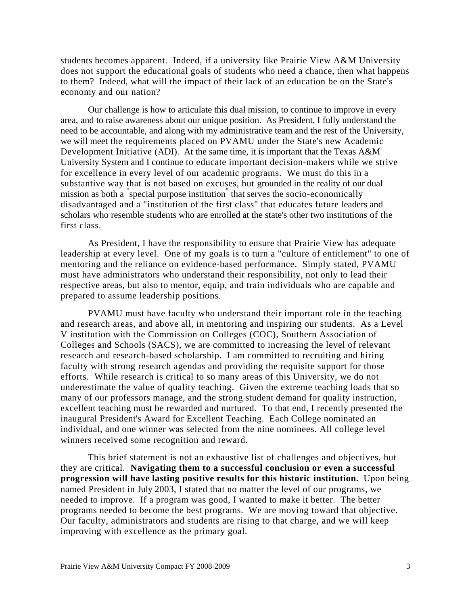students becomes apparent. Indeed, if a university like Prairie View A&M University does not support the educational goals of students who need a chance, then what happens to them? Indeed, what will the impact of their lack of an education be on the State's economy and our nation?

Our challenge is how to articulate this dual mission, to continue to improve in every area, and to raise awareness about our unique position. As President, I fully understand the need to be accountable, and along with my administrative team and the rest of the University, we will meet the requirements placed on PVAMU under the State's new Academic Development Initiative (ADI). At the same time, it is important that the Texas A&M University System and I continue to educate important decision-makers while we strive for excellence in every level of our academic programs. We must do this in a substantive way that is not based on excuses, but grounded in the reality of our dual mission as both a " special purpose institution" that serves the socio-economically disadvantaged and a "institution of the first class" that educates future leaders and scholars who resemble students who are enrolled at the state's other two institutions of the first class.

As President, I have the responsibility to ensure that Prairie View has adequate leadership at every level. One of my goals is to turn a "culture of entitlement" to one of mentoring and the reliance on evidence-based performance. Simply stated, PVAMU must have administrators who understand their responsibility, not only to lead their respective areas, but also to mentor, equip, and train individuals who are capable and prepared to assume leadership positions.

PVAMU must have faculty who understand their important role in the teaching and research areas, and above all, in mentoring and inspiring our students. As a Level V institution with the Commission on Colleges (COC), Southern Association of Colleges and Schools (SACS), we are committed to increasing the level of relevant research and research-based scholarship. I am committed to recruiting and hiring faculty with strong research agendas and providing the requisite support for those efforts. While research is critical to so many areas of this University, we do not underestimate the value of quality teaching. Given the extreme teaching loads that so many of our professors manage, and the strong student demand for quality instruction, excellent teaching must be rewarded and nurtured. To that end, I recently presented the inaugural President's Award for Excellent Teaching. Each College nominated an individual, and one winner was selected from the nine nominees. All college level winners received some recognition and reward.

This brief statement is not an exhaustive list of challenges and objectives, but they are critical. **Navigating them to a successful conclusion or even a successful progression will have lasting positive results for this historic institution.** Upon being named President in July 2003, I stated that no matter the level of our programs, we needed to improve. If a program was good, I wanted to make it better. The better programs needed to become the best programs. We are moving toward that objective. Our faculty, administrators and students are rising to that charge, and we will keep improving with excellence as the primary goal.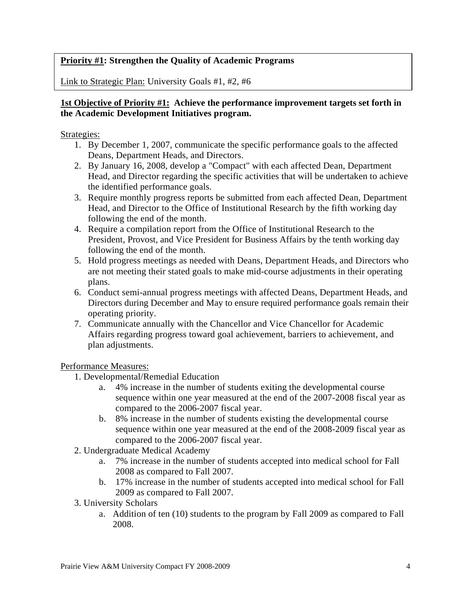## **Priority #1: Strengthen the Quality of Academic Programs**

Link to Strategic Plan: University Goals #1, #2, #6

## **1st Objective of Priority #1: Achieve the performance improvement targets set forth in the Academic Development Initiatives program.**

Strategies:

- 1. By December 1, 2007, communicate the specific performance goals to the affected Deans, Department Heads, and Directors.
- 2. By January 16, 2008, develop a "Compact" with each affected Dean, Department Head, and Director regarding the specific activities that will be undertaken to achieve the identified performance goals.
- 3. Require monthly progress reports be submitted from each affected Dean, Department Head, and Director to the Office of Institutional Research by the fifth working day following the end of the month.
- 4. Require a compilation report from the Office of Institutional Research to the President, Provost, and Vice President for Business Affairs by the tenth working day following the end of the month.
- 5. Hold progress meetings as needed with Deans, Department Heads, and Directors who are not meeting their stated goals to make mid-course adjustments in their operating plans.
- 6. Conduct semi-annual progress meetings with affected Deans, Department Heads, and Directors during December and May to ensure required performance goals remain their operating priority.
- 7. Communicate annually with the Chancellor and Vice Chancellor for Academic Affairs regarding progress toward goal achievement, barriers to achievement, and plan adjustments.

Performance Measures:

- 1. Developmental/Remedial Education
	- a. 4% increase in the number of students exiting the developmental course sequence within one year measured at the end of the 2007-2008 fiscal year as compared to the 2006-2007 fiscal year.
	- b. 8% increase in the number of students existing the developmental course sequence within one year measured at the end of the 2008-2009 fiscal year as compared to the 2006-2007 fiscal year.
- 2. Undergraduate Medical Academy
	- a. 7% increase in the number of students accepted into medical school for Fall 2008 as compared to Fall 2007.
	- b. 17% increase in the number of students accepted into medical school for Fall 2009 as compared to Fall 2007.
- 3. University Scholars
	- a. Addition of ten (10) students to the program by Fall 2009 as compared to Fall 2008.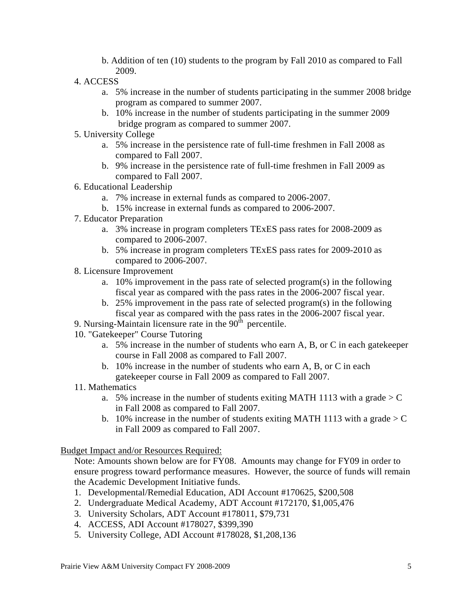- b. Addition of ten (10) students to the program by Fall 2010 as compared to Fall 2009.
- 4. ACCESS
	- a. 5% increase in the number of students participating in the summer 2008 bridge program as compared to summer 2007.
	- b. 10% increase in the number of students participating in the summer 2009 bridge program as compared to summer 2007.
- 5. University College
	- a. 5% increase in the persistence rate of full-time freshmen in Fall 2008 as compared to Fall 2007.
	- b. 9% increase in the persistence rate of full-time freshmen in Fall 2009 as compared to Fall 2007.
- 6. Educational Leadership
	- a. 7% increase in external funds as compared to 2006-2007.
	- b. 15% increase in external funds as compared to 2006-2007.
- 7. Educator Preparation
	- a. 3% increase in program completers TExES pass rates for 2008-2009 as compared to 2006-2007.
	- b. 5% increase in program completers TExES pass rates for 2009-2010 as compared to 2006-2007.
- 8. Licensure Improvement
	- a. 10% improvement in the pass rate of selected program(s) in the following fiscal year as compared with the pass rates in the 2006-2007 fiscal year.
	- b. 25% improvement in the pass rate of selected program(s) in the following fiscal year as compared with the pass rates in the 2006-2007 fiscal year.
- 9. Nursing-Maintain licensure rate in the  $90<sup>th</sup>$  percentile.
- 10. "Gatekeeper" Course Tutoring
	- a. 5% increase in the number of students who earn A, B, or C in each gatekeeper course in Fall 2008 as compared to Fall 2007.
	- b. 10% increase in the number of students who earn A, B, or C in each gatekeeper course in Fall 2009 as compared to Fall 2007.
- 11. Mathematics
	- a. 5% increase in the number of students exiting MATH 1113 with a grade  $>$  C in Fall 2008 as compared to Fall 2007.
	- b. 10% increase in the number of students exiting MATH 1113 with a grade  $>$  C in Fall 2009 as compared to Fall 2007.

Budget Impact and/or Resources Required:

Note: Amounts shown below are for FY08. Amounts may change for FY09 in order to ensure progress toward performance measures. However, the source of funds will remain the Academic Development Initiative funds.

- 1. Developmental/Remedial Education, ADI Account #170625, \$200,508
- 2. Undergraduate Medical Academy, ADT Account #172170, \$1,005,476
- 3. University Scholars, ADT Account #178011, \$79,731
- 4. ACCESS, ADI Account #178027, \$399,390
- 5. University College, ADI Account #178028, \$1,208,136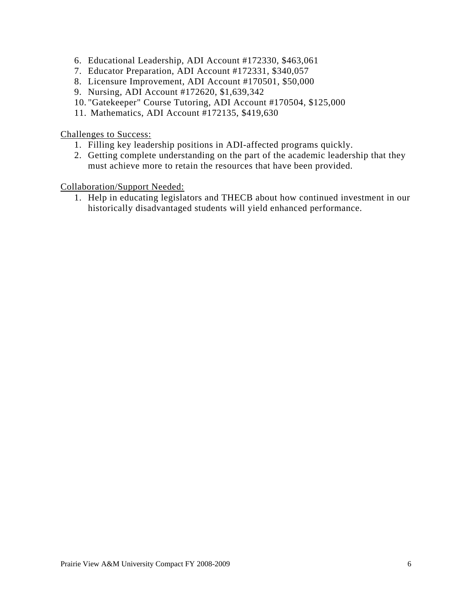- 6. Educational Leadership, ADI Account #172330, \$463,061
- 7. Educator Preparation, ADI Account #172331, \$340,057
- 8. Licensure Improvement, ADI Account #170501, \$50,000
- 9. Nursing, ADI Account #172620, \$1,639,342
- 10. "Gatekeeper" Course Tutoring, ADI Account #170504, \$125,000
- 11. Mathematics, ADI Account #172135, \$419,630

Challenges to Success:

- 1. Filling key leadership positions in ADI-affected programs quickly.
- 2. Getting complete understanding on the part of the academic leadership that they must achieve more to retain the resources that have been provided.

Collaboration/Support Needed:

1. Help in educating legislators and THECB about how continued investment in our historically disadvantaged students will yield enhanced performance.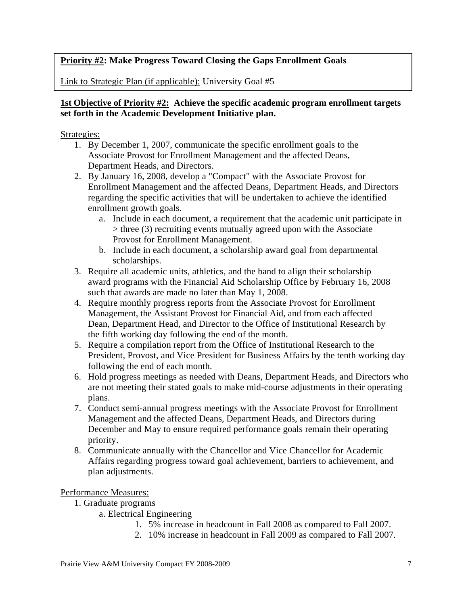## **Priority #2: Make Progress Toward Closing the Gaps Enrollment Goals**

Link to Strategic Plan (if applicable): University Goal #5

## **1st Objective of Priority #2: Achieve the specific academic program enrollment targets set forth in the Academic Development Initiative plan.**

### Strategies:

- 1. By December 1, 2007, communicate the specific enrollment goals to the Associate Provost for Enrollment Management and the affected Deans, Department Heads, and Directors.
- 2. By January 16, 2008, develop a "Compact" with the Associate Provost for Enrollment Management and the affected Deans, Department Heads, and Directors regarding the specific activities that will be undertaken to achieve the identified enrollment growth goals.
	- a. Include in each document, a requirement that the academic unit participate in > three (3) recruiting events mutually agreed upon with the Associate Provost for Enrollment Management.
	- b. Include in each document, a scholarship award goal from departmental scholarships.
- 3. Require all academic units, athletics, and the band to align their scholarship award programs with the Financial Aid Scholarship Office by February 16, 2008 such that awards are made no later than May 1, 2008.
- 4. Require monthly progress reports from the Associate Provost for Enrollment Management, the Assistant Provost for Financial Aid, and from each affected Dean, Department Head, and Director to the Office of Institutional Research by the fifth working day following the end of the month.
- 5. Require a compilation report from the Office of Institutional Research to the President, Provost, and Vice President for Business Affairs by the tenth working day following the end of each month.
- 6. Hold progress meetings as needed with Deans, Department Heads, and Directors who are not meeting their stated goals to make mid-course adjustments in their operating plans.
- 7. Conduct semi-annual progress meetings with the Associate Provost for Enrollment Management and the affected Deans, Department Heads, and Directors during December and May to ensure required performance goals remain their operating priority.
- 8. Communicate annually with the Chancellor and Vice Chancellor for Academic Affairs regarding progress toward goal achievement, barriers to achievement, and plan adjustments.

#### Performance Measures:

- 1. Graduate programs
	- a. Electrical Engineering
		- 1. 5% increase in headcount in Fall 2008 as compared to Fall 2007.
		- 2. 10% increase in headcount in Fall 2009 as compared to Fall 2007.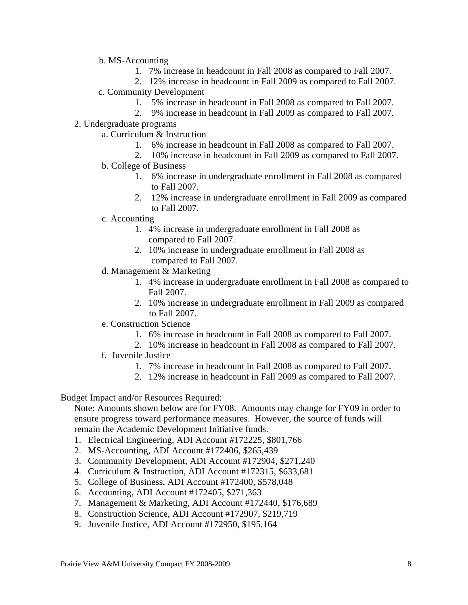- b. MS-Accounting
	- 1. 7% increase in headcount in Fall 2008 as compared to Fall 2007.
	- 2. 12% increase in headcount in Fall 2009 as compared to Fall 2007.
- c. Community Development
	- 1. 5% increase in headcount in Fall 2008 as compared to Fall 2007.
	- 2. 9% increase in headcount in Fall 2009 as compared to Fall 2007.
- 2. Undergraduate programs
	- a. Curriculum & Instruction
		- 1. 6% increase in headcount in Fall 2008 as compared to Fall 2007.
		- 2. 10% increase in headcount in Fall 2009 as compared to Fall 2007.
	- b. College of Business
		- 1. 6% increase in undergraduate enrollment in Fall 2008 as compared to Fall 2007.
		- 2. 12% increase in undergraduate enrollment in Fall 2009 as compared to Fall 2007.
	- c. Accounting
		- 1. 4% increase in undergraduate enrollment in Fall 2008 as compared to Fall 2007.
		- 2. 10% increase in undergraduate enrollment in Fall 2008 as compared to Fall 2007.
	- d. Management & Marketing
		- 1. 4% increase in undergraduate enrollment in Fall 2008 as compared to Fall 2007.
		- 2. 10% increase in undergraduate enrollment in Fall 2009 as compared to Fall 2007.
	- e. Construction Science
		- 1. 6% increase in headcount in Fall 2008 as compared to Fall 2007.
		- 2. 10% increase in headcount in Fall 2008 as compared to Fall 2007.
	- f. Juvenile Justice
		- 1. 7% increase in headcount in Fall 2008 as compared to Fall 2007.
		- 2. 12% increase in headcount in Fall 2009 as compared to Fall 2007.

#### Budget Impact and/or Resources Required:

Note: Amounts shown below are for FY08. Amounts may change for FY09 in order to ensure progress toward performance measures. However, the source of funds will remain the Academic Development Initiative funds.

- 1. Electrical Engineering, ADI Account #172225, \$801,766
- 2. MS-Accounting, ADI Account #172406, \$265,439
- 3. Community Development, ADI Account #172904, \$271,240
- 4. Curriculum & Instruction, ADI Account #172315, \$633,681
- 5. College of Business, ADI Account #172400, \$578,048
- 6. Accounting, ADI Account #172405, \$271,363
- 7. Management & Marketing, ADI Account #172440, \$176,689
- 8. Construction Science, ADI Account #172907, \$219,719
- 9. Juvenile Justice, ADI Account #172950, \$195,164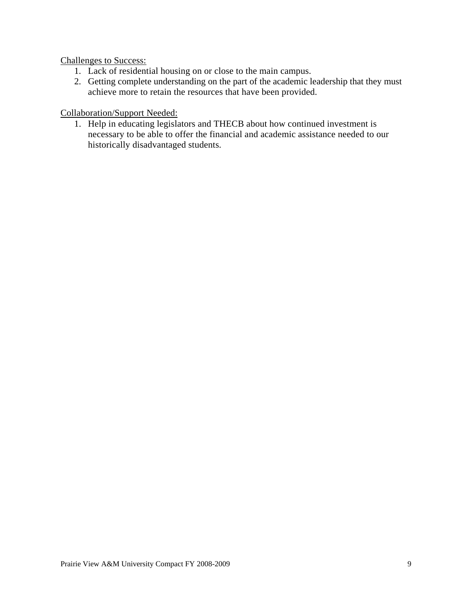Challenges to Success:

- 1. Lack of residential housing on or close to the main campus.
- 2. Getting complete understanding on the part of the academic leadership that they must achieve more to retain the resources that have been provided.

## Collaboration/Support Needed:

1. Help in educating legislators and THECB about how continued investment is necessary to be able to offer the financial and academic assistance needed to our historically disadvantaged students.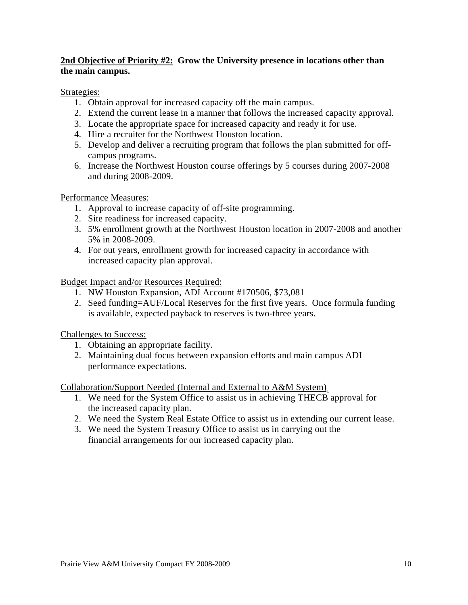## **2nd Objective of Priority #2: Grow the University presence in locations other than the main campus.**

## Strategies:

- 1. Obtain approval for increased capacity off the main campus.
- 2. Extend the current lease in a manner that follows the increased capacity approval.
- 3. Locate the appropriate space for increased capacity and ready it for use.
- 4. Hire a recruiter for the Northwest Houston location.
- 5. Develop and deliver a recruiting program that follows the plan submitted for offcampus programs.
- 6. Increase the Northwest Houston course offerings by 5 courses during 2007-2008 and during 2008-2009.

Performance Measures:

- 1. Approval to increase capacity of off-site programming.
- 2. Site readiness for increased capacity.
- 3. 5% enrollment growth at the Northwest Houston location in 2007-2008 and another 5% in 2008-2009.
- 4. For out years, enrollment growth for increased capacity in accordance with increased capacity plan approval.

Budget Impact and/or Resources Required:

- 1. NW Houston Expansion, ADI Account #170506, \$73,081
- 2. Seed funding=AUF/Local Reserves for the first five years. Once formula funding is available, expected payback to reserves is two-three years.

Challenges to Success:

- 1. Obtaining an appropriate facility.
- 2. Maintaining dual focus between expansion efforts and main campus ADI performance expectations.

Collaboration/Support Needed (Internal and External to A&M System),

- 1. We need for the System Office to assist us in achieving THECB approval for the increased capacity plan.
- 2. We need the System Real Estate Office to assist us in extending our current lease.
- 3. We need the System Treasury Office to assist us in carrying out the financial arrangements for our increased capacity plan.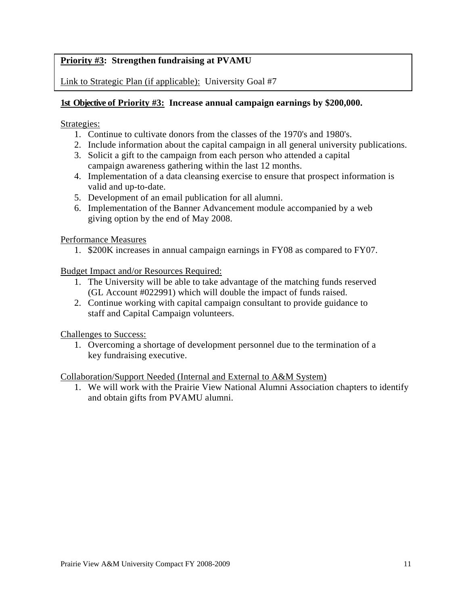## **Priority #3: Strengthen fundraising at PVAMU**

Link to Strategic Plan (if applicable): University Goal #7

## **1st Objective of Priority #3: Increase annual campaign earnings by \$200,000.**

#### Strategies:

- 1. Continue to cultivate donors from the classes of the 1970's and 1980's.
- 2. Include information about the capital campaign in all general university publications.
- 3. Solicit a gift to the campaign from each person who attended a capital campaign awareness gathering within the last 12 months.
- 4. Implementation of a data cleansing exercise to ensure that prospect information is valid and up-to-date.
- 5. Development of an email publication for all alumni.
- 6. Implementation of the Banner Advancement module accompanied by a web giving option by the end of May 2008.

Performance Measures

1. \$200K increases in annual campaign earnings in FY08 as compared to FY07.

Budget Impact and/or Resources Required:

- 1. The University will be able to take advantage of the matching funds reserved (GL Account #022991) which will double the impact of funds raised.
- 2. Continue working with capital campaign consultant to provide guidance to staff and Capital Campaign volunteers.

Challenges to Success:

1. Overcoming a shortage of development personnel due to the termination of a key fundraising executive.

Collaboration/Support Needed (Internal and External to A&M System)

1. We will work with the Prairie View National Alumni Association chapters to identify and obtain gifts from PVAMU alumni.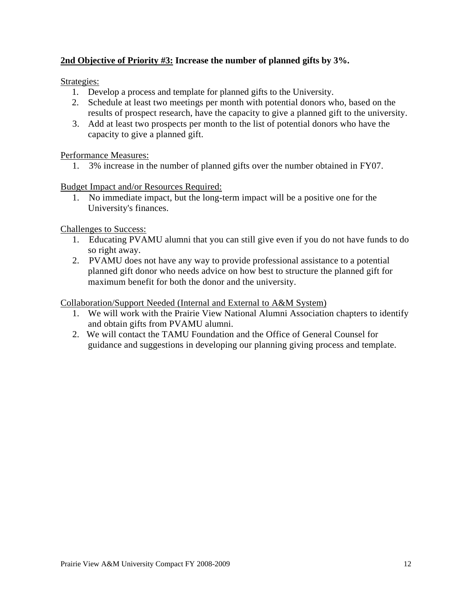## **2nd Objective of Priority #3: Increase the number of planned gifts by 3%.**

Strategies:

- 1. Develop a process and template for planned gifts to the University.
- 2. Schedule at least two meetings per month with potential donors who, based on the results of prospect research, have the capacity to give a planned gift to the university.
- 3. Add at least two prospects per month to the list of potential donors who have the capacity to give a planned gift.

### Performance Measures:

1. 3% increase in the number of planned gifts over the number obtained in FY07.

### Budget Impact and/or Resources Required:

 1. No immediate impact, but the long-term impact will be a positive one for the University's finances.

Challenges to Success:

- 1. Educating PVAMU alumni that you can still give even if you do not have funds to do so right away.
- 2. PVAMU does not have any way to provide professional assistance to a potential planned gift donor who needs advice on how best to structure the planned gift for maximum benefit for both the donor and the university.

Collaboration/Support Needed (Internal and External to A&M System)

- 1. We will work with the Prairie View National Alumni Association chapters to identify and obtain gifts from PVAMU alumni.
- 2. We will contact the TAMU Foundation and the Office of General Counsel for guidance and suggestions in developing our planning giving process and template.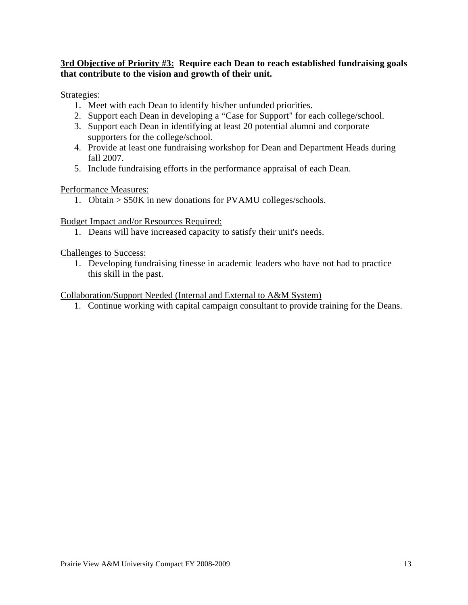## **3rd Objective of Priority #3: Require each Dean to reach established fundraising goals that contribute to the vision and growth of their unit.**

#### Strategies:

- 1. Meet with each Dean to identify his/her unfunded priorities.
- 2. Support each Dean in developing a "Case for Support" for each college/school.
- 3. Support each Dean in identifying at least 20 potential alumni and corporate supporters for the college/school.
- 4. Provide at least one fundraising workshop for Dean and Department Heads during fall 2007.
- 5. Include fundraising efforts in the performance appraisal of each Dean.

#### Performance Measures:

1. Obtain > \$50K in new donations for PVAMU colleges/schools.

#### Budget Impact and/or Resources Required:

1. Deans will have increased capacity to satisfy their unit's needs.

#### Challenges to Success:

1. Developing fundraising finesse in academic leaders who have not had to practice this skill in the past.

#### Collaboration/Support Needed (Internal and External to A&M System)

1. Continue working with capital campaign consultant to provide training for the Deans.